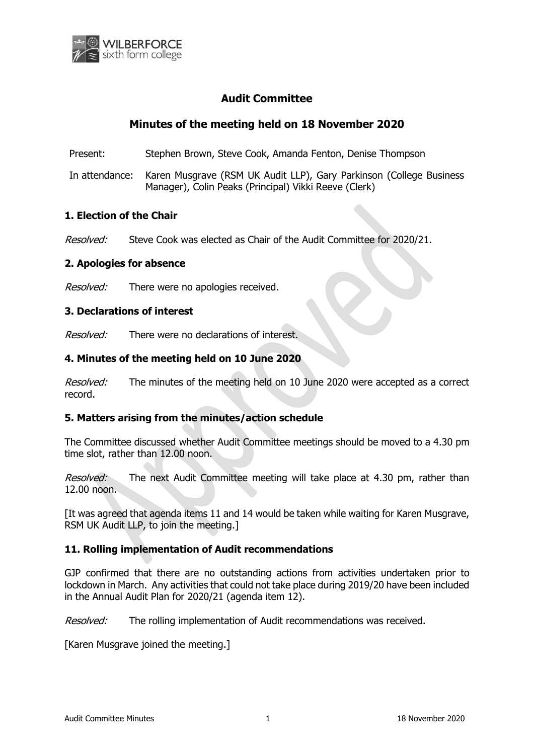

# **Audit Committee**

# **Minutes of the meeting held on 18 November 2020**

Present: Stephen Brown, Steve Cook, Amanda Fenton, Denise Thompson

In attendance: Karen Musgrave (RSM UK Audit LLP), Gary Parkinson (College Business Manager), Colin Peaks (Principal) Vikki Reeve (Clerk)

### **1. Election of the Chair**

Resolved: Steve Cook was elected as Chair of the Audit Committee for 2020/21.

#### **2. Apologies for absence**

Resolved: There were no apologies received.

#### **3. Declarations of interest**

Resolved: There were no declarations of interest.

## **4. Minutes of the meeting held on 10 June 2020**

Resolved: The minutes of the meeting held on 10 June 2020 were accepted as a correct record.

## **5. Matters arising from the minutes/action schedule**

The Committee discussed whether Audit Committee meetings should be moved to a 4.30 pm time slot, rather than 12.00 noon.

Resolved: The next Audit Committee meeting will take place at 4.30 pm, rather than 12.00 noon.

[It was agreed that agenda items 11 and 14 would be taken while waiting for Karen Musgrave, RSM UK Audit LLP, to join the meeting.]

## **11. Rolling implementation of Audit recommendations**

GJP confirmed that there are no outstanding actions from activities undertaken prior to lockdown in March. Any activities that could not take place during 2019/20 have been included in the Annual Audit Plan for 2020/21 (agenda item 12).

Resolved: The rolling implementation of Audit recommendations was received.

[Karen Musgrave joined the meeting.]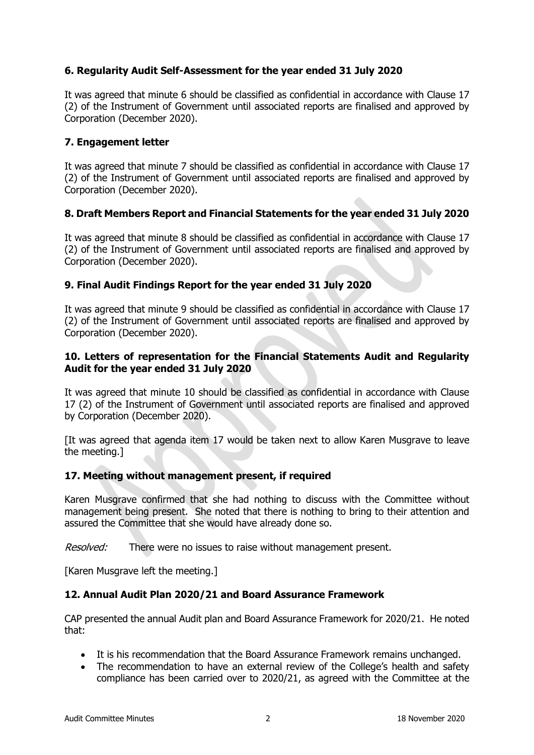## **6. Regularity Audit Self-Assessment for the year ended 31 July 2020**

It was agreed that minute 6 should be classified as confidential in accordance with Clause 17 (2) of the Instrument of Government until associated reports are finalised and approved by Corporation (December 2020).

### **7. Engagement letter**

It was agreed that minute 7 should be classified as confidential in accordance with Clause 17 (2) of the Instrument of Government until associated reports are finalised and approved by Corporation (December 2020).

## **8. Draft Members Report and Financial Statements for the year ended 31 July 2020**

It was agreed that minute 8 should be classified as confidential in accordance with Clause 17 (2) of the Instrument of Government until associated reports are finalised and approved by Corporation (December 2020).

#### **9. Final Audit Findings Report for the year ended 31 July 2020**

It was agreed that minute 9 should be classified as confidential in accordance with Clause 17 (2) of the Instrument of Government until associated reports are finalised and approved by Corporation (December 2020).

### **10. Letters of representation for the Financial Statements Audit and Regularity Audit for the year ended 31 July 2020**

It was agreed that minute 10 should be classified as confidential in accordance with Clause 17 (2) of the Instrument of Government until associated reports are finalised and approved by Corporation (December 2020).

[It was agreed that agenda item 17 would be taken next to allow Karen Musgrave to leave the meeting.]

#### **17. Meeting without management present, if required**

Karen Musgrave confirmed that she had nothing to discuss with the Committee without management being present. She noted that there is nothing to bring to their attention and assured the Committee that she would have already done so.

Resolved: There were no issues to raise without management present.

[Karen Musgrave left the meeting.]

#### **12. Annual Audit Plan 2020/21 and Board Assurance Framework**

CAP presented the annual Audit plan and Board Assurance Framework for 2020/21. He noted that:

- It is his recommendation that the Board Assurance Framework remains unchanged.
- The recommendation to have an external review of the College's health and safety compliance has been carried over to 2020/21, as agreed with the Committee at the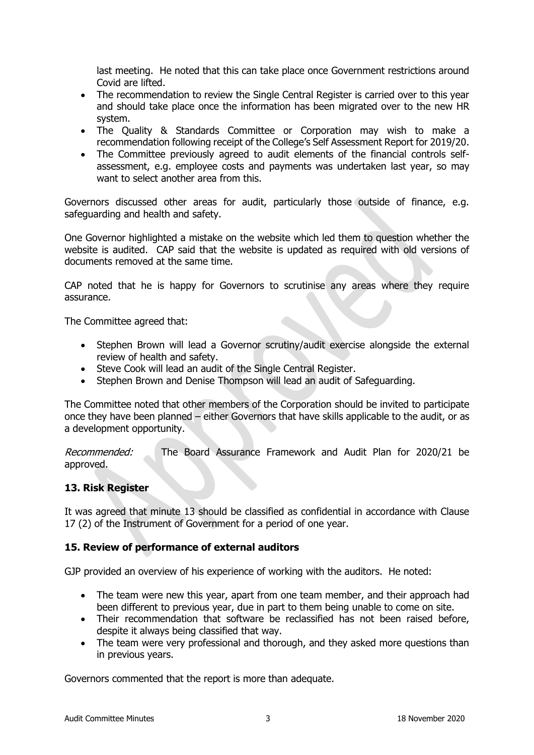last meeting. He noted that this can take place once Government restrictions around Covid are lifted.

- The recommendation to review the Single Central Register is carried over to this year and should take place once the information has been migrated over to the new HR system.
- The Quality & Standards Committee or Corporation may wish to make a recommendation following receipt of the College's Self Assessment Report for 2019/20.
- The Committee previously agreed to audit elements of the financial controls selfassessment, e.g. employee costs and payments was undertaken last year, so may want to select another area from this.

Governors discussed other areas for audit, particularly those outside of finance, e.g. safeguarding and health and safety.

One Governor highlighted a mistake on the website which led them to question whether the website is audited. CAP said that the website is updated as required with old versions of documents removed at the same time.

CAP noted that he is happy for Governors to scrutinise any areas where they require assurance.

The Committee agreed that:

- Stephen Brown will lead a Governor scrutiny/audit exercise alongside the external review of health and safety.
- Steve Cook will lead an audit of the Single Central Register.
- Stephen Brown and Denise Thompson will lead an audit of Safeguarding.

The Committee noted that other members of the Corporation should be invited to participate once they have been planned – either Governors that have skills applicable to the audit, or as a development opportunity.

Recommended: The Board Assurance Framework and Audit Plan for 2020/21 be approved.

#### **13. Risk Register**

It was agreed that minute 13 should be classified as confidential in accordance with Clause 17 (2) of the Instrument of Government for a period of one year.

#### **15. Review of performance of external auditors**

GJP provided an overview of his experience of working with the auditors. He noted:

- The team were new this year, apart from one team member, and their approach had been different to previous year, due in part to them being unable to come on site.
- Their recommendation that software be reclassified has not been raised before, despite it always being classified that way.
- The team were very professional and thorough, and they asked more questions than in previous years.

Governors commented that the report is more than adequate.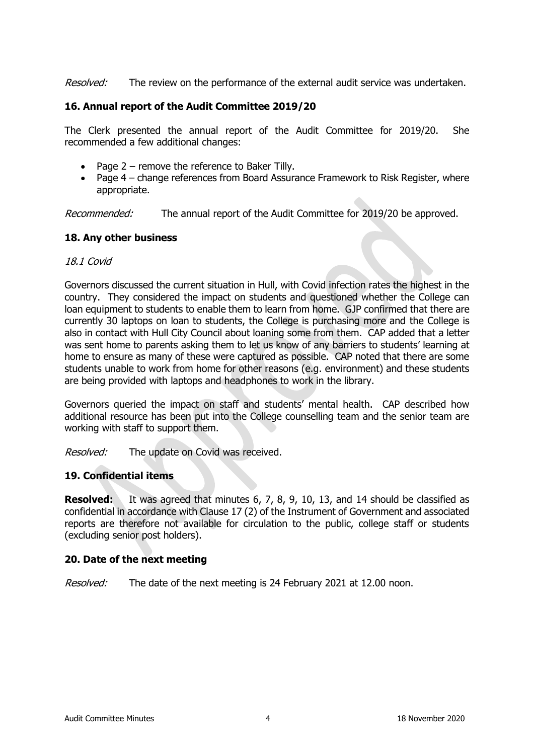Resolved: The review on the performance of the external audit service was undertaken.

### **16. Annual report of the Audit Committee 2019/20**

The Clerk presented the annual report of the Audit Committee for 2019/20. She recommended a few additional changes:

- Page 2 remove the reference to Baker Tilly.
- Page 4 change references from Board Assurance Framework to Risk Register, where appropriate.

Recommended: The annual report of the Audit Committee for 2019/20 be approved.

## **18. Any other business**

#### 18.1 Covid

Governors discussed the current situation in Hull, with Covid infection rates the highest in the country. They considered the impact on students and questioned whether the College can loan equipment to students to enable them to learn from home. GJP confirmed that there are currently 30 laptops on loan to students, the College is purchasing more and the College is also in contact with Hull City Council about loaning some from them. CAP added that a letter was sent home to parents asking them to let us know of any barriers to students' learning at home to ensure as many of these were captured as possible. CAP noted that there are some students unable to work from home for other reasons (e.g. environment) and these students are being provided with laptops and headphones to work in the library.

Governors queried the impact on staff and students' mental health. CAP described how additional resource has been put into the College counselling team and the senior team are working with staff to support them.

Resolved: The update on Covid was received.

## **19. Confidential items**

**Resolved:** It was agreed that minutes 6, 7, 8, 9, 10, 13, and 14 should be classified as confidential in accordance with Clause 17 (2) of the Instrument of Government and associated reports are therefore not available for circulation to the public, college staff or students (excluding senior post holders).

#### **20. Date of the next meeting**

Resolved: The date of the next meeting is 24 February 2021 at 12.00 noon.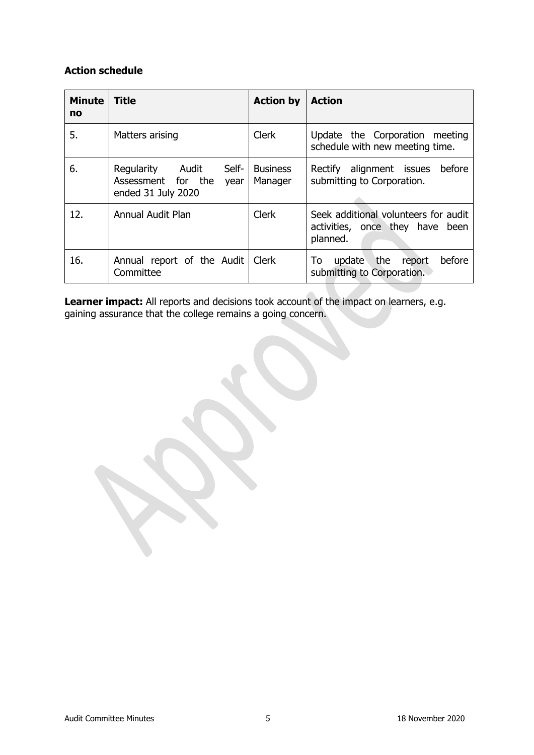## **Action schedule**

| <b>Minute</b><br>no | <b>Title</b>                                                                     | <b>Action by</b>           | <b>Action</b>                                                                       |
|---------------------|----------------------------------------------------------------------------------|----------------------------|-------------------------------------------------------------------------------------|
| 5.                  | Matters arising                                                                  | <b>Clerk</b>               | Update the Corporation meeting<br>schedule with new meeting time.                   |
| 6.                  | Regularity<br>Self-<br>Audit<br>Assessment for the<br>year<br>ended 31 July 2020 | <b>Business</b><br>Manager | before<br>Rectify alignment issues<br>submitting to Corporation.                    |
| 12.                 | Annual Audit Plan                                                                | <b>Clerk</b>               | Seek additional volunteers for audit<br>activities, once they have been<br>planned. |
| 16.                 | Annual report of the Audit<br>Committee                                          | Clerk                      | before<br>the<br>update<br>To<br>report<br>submitting to Corporation.               |

Learner impact: All reports and decisions took account of the impact on learners, e.g. gaining assurance that the college remains a going concern.